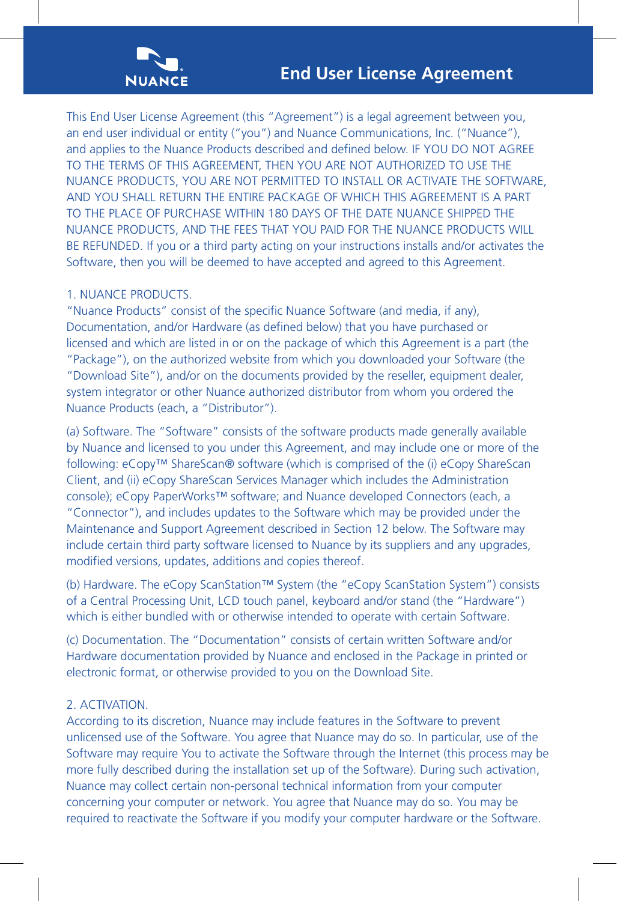

This End User License Agreement (this "Agreement") is a legal agreement between you, an end user individual or entity ("you") and Nuance Communications, Inc. ("Nuance"), and applies to the Nuance Products described and defined below. IF YOU DO NOT AGREE TO THE TERMS OF THIS AGREEMENT, THEN YOU ARE NOT AUTHORIZED TO USE THE NUANCE PRODUCTS, YOU ARE NOT PERMITTED TO INSTALL OR ACTIVATE THE SOFTWARE, AND YOU SHALL RETURN THE ENTIRE PACKAGE OF WHICH THIS AGREEMENT IS A PART TO THE PLACE OF PURCHASE WITHIN 180 DAYS OF THE DATE NUANCE SHIPPED THE NUANCE PRODUCTS, AND THE FEES THAT YOU PAID FOR THE NUANCE PRODUCTS WILL BE REFUNDED. If you or a third party acting on your instructions installs and/or activates the Software, then you will be deemed to have accepted and agreed to this Agreement.

## 1. NUANCE PRODUCTS.

"Nuance Products" consist of the specific Nuance Software (and media, if any), Documentation, and/or Hardware (as defined below) that you have purchased or licensed and which are listed in or on the package of which this Agreement is a part (the "Package"), on the authorized website from which you downloaded your Software (the "Download Site"), and/or on the documents provided by the reseller, equipment dealer, system integrator or other Nuance authorized distributor from whom you ordered the Nuance Products (each, a "Distributor").

(a) Software. The "Software" consists of the software products made generally available by Nuance and licensed to you under this Agreement, and may include one or more of the following: eCopy™ ShareScan® software (which is comprised of the (i) eCopy ShareScan Client, and (ii) eCopy ShareScan Services Manager which includes the Administration console); eCopy PaperWorks™ software; and Nuance developed Connectors (each, a "Connector"), and includes updates to the Software which may be provided under the Maintenance and Support Agreement described in Section 12 below. The Software may include certain third party software licensed to Nuance by its suppliers and any upgrades, modified versions, updates, additions and copies thereof.

(b) Hardware. The eCopy ScanStation™ System (the "eCopy ScanStation System") consists of a Central Processing Unit, LCD touch panel, keyboard and/or stand (the "Hardware") which is either bundled with or otherwise intended to operate with certain Software.

(c) Documentation. The "Documentation" consists of certain written Software and/or Hardware documentation provided by Nuance and enclosed in the Package in printed or electronic format, or otherwise provided to you on the Download Site.

## 2. ACTIVATION.

According to its discretion, Nuance may include features in the Software to prevent unlicensed use of the Software. You agree that Nuance may do so. In particular, use of the Software may require You to activate the Software through the Internet (this process may be more fully described during the installation set up of the Software). During such activation, Nuance may collect certain non-personal technical information from your computer concerning your computer or network. You agree that Nuance may do so. You may be required to reactivate the Software if you modify your computer hardware or the Software.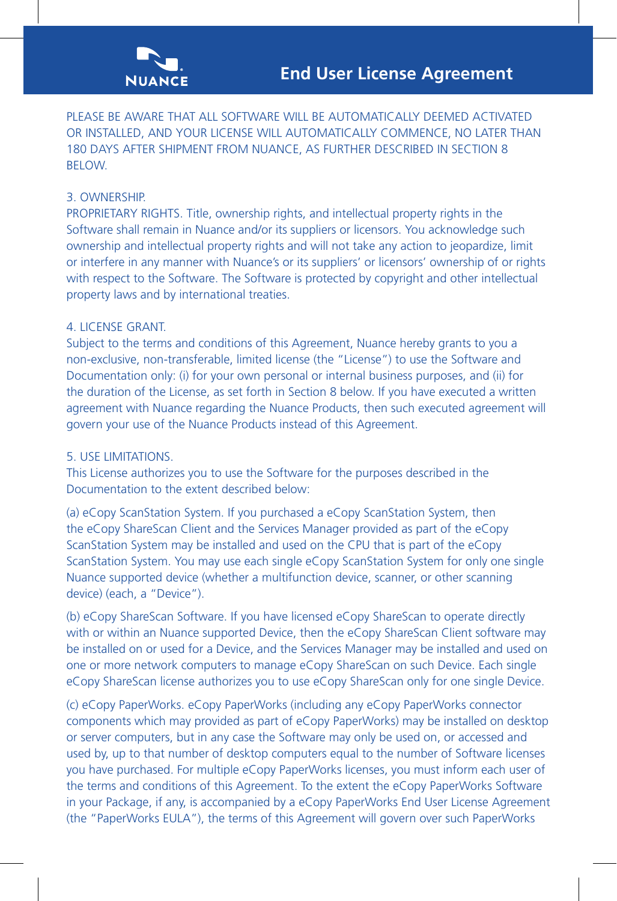

PLEASE BE AWARE THAT ALL SOFTWARE WILL BE AUTOMATICALLY DEEMED ACTIVATED OR INSTALLED, AND YOUR LICENSE WILL AUTOMATICALLY COMMENCE, NO LATER THAN 180 DAYS AFTER SHIPMENT FROM NUANCE, AS FURTHER DESCRIBED IN SECTION 8 BELOW.

# 3. OWNERSHIP.

PROPRIETARY RIGHTS. Title, ownership rights, and intellectual property rights in the Software shall remain in Nuance and/or its suppliers or licensors. You acknowledge such ownership and intellectual property rights and will not take any action to jeopardize, limit or interfere in any manner with Nuance's or its suppliers' or licensors' ownership of or rights with respect to the Software. The Software is protected by copyright and other intellectual property laws and by international treaties.

## 4. LICENSE GRANT.

Subject to the terms and conditions of this Agreement, Nuance hereby grants to you a non-exclusive, non-transferable, limited license (the "License") to use the Software and Documentation only: (i) for your own personal or internal business purposes, and (ii) for the duration of the License, as set forth in Section 8 below. If you have executed a written agreement with Nuance regarding the Nuance Products, then such executed agreement will govern your use of the Nuance Products instead of this Agreement.

## 5. USE LIMITATIONS.

This License authorizes you to use the Software for the purposes described in the Documentation to the extent described below:

(a) eCopy ScanStation System. If you purchased a eCopy ScanStation System, then the eCopy ShareScan Client and the Services Manager provided as part of the eCopy ScanStation System may be installed and used on the CPU that is part of the eCopy ScanStation System. You may use each single eCopy ScanStation System for only one single Nuance supported device (whether a multifunction device, scanner, or other scanning device) (each, a "Device").

(b) eCopy ShareScan Software. If you have licensed eCopy ShareScan to operate directly with or within an Nuance supported Device, then the eCopy ShareScan Client software may be installed on or used for a Device, and the Services Manager may be installed and used on one or more network computers to manage eCopy ShareScan on such Device. Each single eCopy ShareScan license authorizes you to use eCopy ShareScan only for one single Device.

(c) eCopy PaperWorks. eCopy PaperWorks (including any eCopy PaperWorks connector components which may provided as part of eCopy PaperWorks) may be installed on desktop or server computers, but in any case the Software may only be used on, or accessed and used by, up to that number of desktop computers equal to the number of Software licenses you have purchased. For multiple eCopy PaperWorks licenses, you must inform each user of the terms and conditions of this Agreement. To the extent the eCopy PaperWorks Software in your Package, if any, is accompanied by a eCopy PaperWorks End User License Agreement (the "PaperWorks EULA"), the terms of this Agreement will govern over such PaperWorks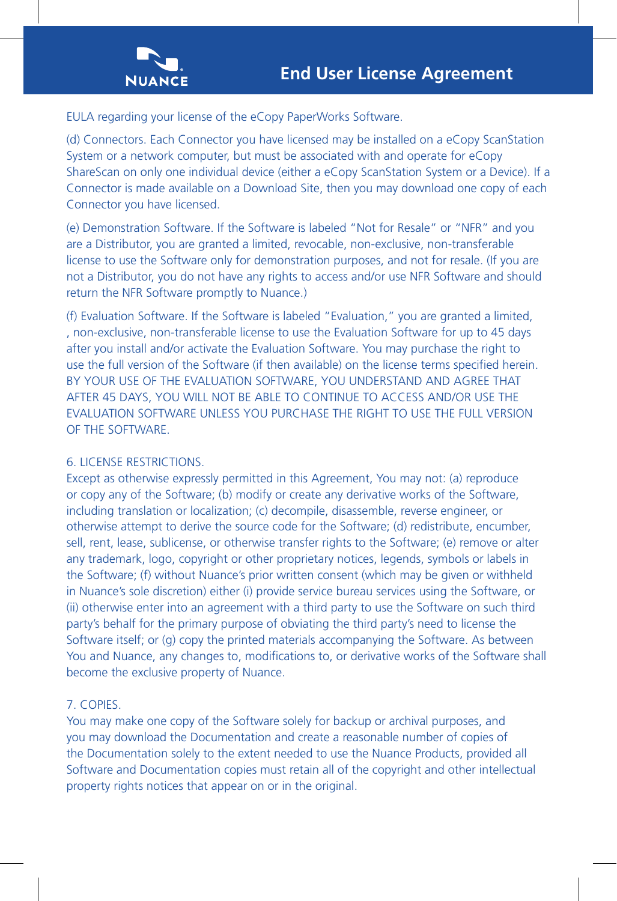

EULA regarding your license of the eCopy PaperWorks Software.

(d) Connectors. Each Connector you have licensed may be installed on a eCopy ScanStation System or a network computer, but must be associated with and operate for eCopy ShareScan on only one individual device (either a eCopy ScanStation System or a Device). If a Connector is made available on a Download Site, then you may download one copy of each Connector you have licensed.

(e) Demonstration Software. If the Software is labeled "Not for Resale" or "NFR" and you are a Distributor, you are granted a limited, revocable, non-exclusive, non-transferable license to use the Software only for demonstration purposes, and not for resale. (If you are not a Distributor, you do not have any rights to access and/or use NFR Software and should return the NFR Software promptly to Nuance.)

(f) Evaluation Software. If the Software is labeled "Evaluation," you are granted a limited, , non-exclusive, non-transferable license to use the Evaluation Software for up to 45 days after you install and/or activate the Evaluation Software. You may purchase the right to use the full version of the Software (if then available) on the license terms specified herein. BY YOUR USE OF THE EVALUATION SOFTWARE, YOU UNDERSTAND AND AGREE THAT AFTER 45 DAYS, YOU WILL NOT BE ABLE TO CONTINUE TO ACCESS AND/OR USE THE EVALUATION SOFTWARE UNLESS YOU PURCHASE THE RIGHT TO USE THE FULL VERSION OF THE SOFTWARE.

# 6. LICENSE RESTRICTIONS.

Except as otherwise expressly permitted in this Agreement, You may not: (a) reproduce or copy any of the Software; (b) modify or create any derivative works of the Software, including translation or localization; (c) decompile, disassemble, reverse engineer, or otherwise attempt to derive the source code for the Software; (d) redistribute, encumber, sell, rent, lease, sublicense, or otherwise transfer rights to the Software; (e) remove or alter any trademark, logo, copyright or other proprietary notices, legends, symbols or labels in the Software; (f) without Nuance's prior written consent (which may be given or withheld in Nuance's sole discretion) either (i) provide service bureau services using the Software, or (ii) otherwise enter into an agreement with a third party to use the Software on such third party's behalf for the primary purpose of obviating the third party's need to license the Software itself; or (g) copy the printed materials accompanying the Software. As between You and Nuance, any changes to, modifications to, or derivative works of the Software shall become the exclusive property of Nuance.

# 7. COPIES.

You may make one copy of the Software solely for backup or archival purposes, and you may download the Documentation and create a reasonable number of copies of the Documentation solely to the extent needed to use the Nuance Products, provided all Software and Documentation copies must retain all of the copyright and other intellectual property rights notices that appear on or in the original.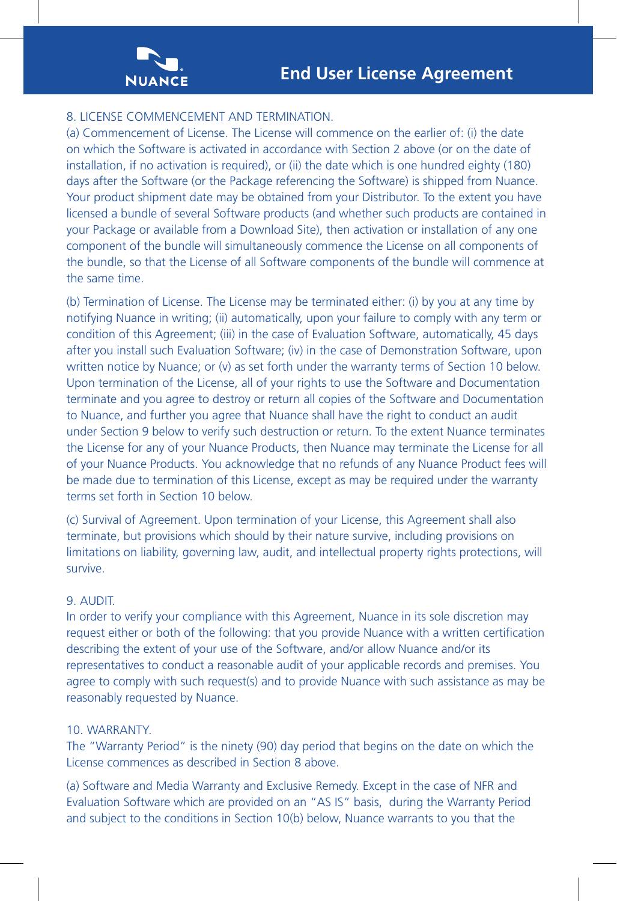

# 8. LICENSE COMMENCEMENT AND TERMINATION.

(a) Commencement of License. The License will commence on the earlier of: (i) the date on which the Software is activated in accordance with Section 2 above (or on the date of installation, if no activation is required), or (ii) the date which is one hundred eighty (180) days after the Software (or the Package referencing the Software) is shipped from Nuance. Your product shipment date may be obtained from your Distributor. To the extent you have licensed a bundle of several Software products (and whether such products are contained in your Package or available from a Download Site), then activation or installation of any one component of the bundle will simultaneously commence the License on all components of the bundle, so that the License of all Software components of the bundle will commence at the same time.

(b) Termination of License. The License may be terminated either: (i) by you at any time by notifying Nuance in writing; (ii) automatically, upon your failure to comply with any term or condition of this Agreement; (iii) in the case of Evaluation Software, automatically, 45 days after you install such Evaluation Software; (iv) in the case of Demonstration Software, upon written notice by Nuance; or (v) as set forth under the warranty terms of Section 10 below. Upon termination of the License, all of your rights to use the Software and Documentation terminate and you agree to destroy or return all copies of the Software and Documentation to Nuance, and further you agree that Nuance shall have the right to conduct an audit under Section 9 below to verify such destruction or return. To the extent Nuance terminates the License for any of your Nuance Products, then Nuance may terminate the License for all of your Nuance Products. You acknowledge that no refunds of any Nuance Product fees will be made due to termination of this License, except as may be required under the warranty terms set forth in Section 10 below.

(c) Survival of Agreement. Upon termination of your License, this Agreement shall also terminate, but provisions which should by their nature survive, including provisions on limitations on liability, governing law, audit, and intellectual property rights protections, will survive.

#### 9. AUDIT.

In order to verify your compliance with this Agreement, Nuance in its sole discretion may request either or both of the following: that you provide Nuance with a written certification describing the extent of your use of the Software, and/or allow Nuance and/or its representatives to conduct a reasonable audit of your applicable records and premises. You agree to comply with such request(s) and to provide Nuance with such assistance as may be reasonably requested by Nuance.

## 10. WARRANTY.

The "Warranty Period" is the ninety (90) day period that begins on the date on which the License commences as described in Section 8 above.

(a) Software and Media Warranty and Exclusive Remedy. Except in the case of NFR and Evaluation Software which are provided on an "AS IS" basis, during the Warranty Period and subject to the conditions in Section 10(b) below, Nuance warrants to you that the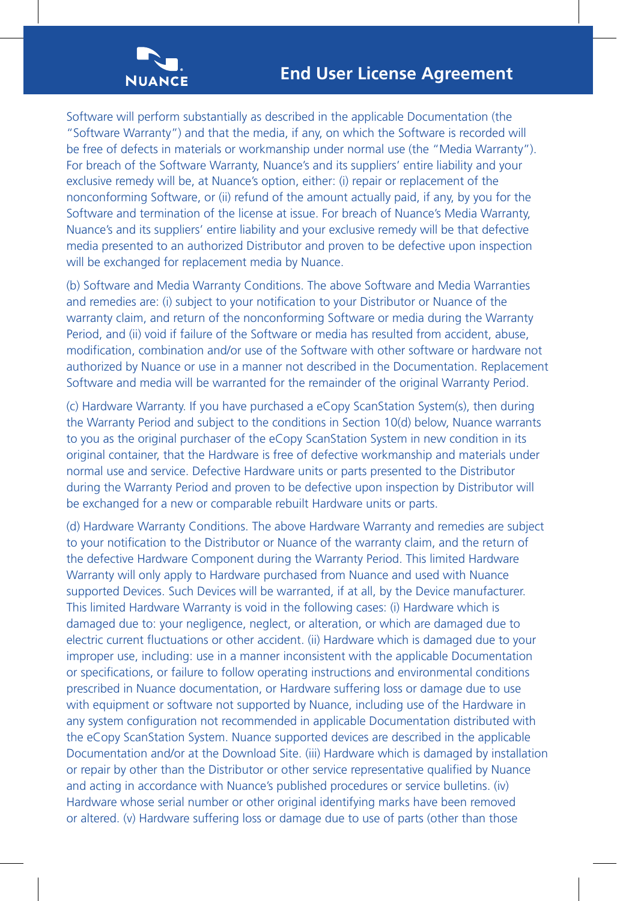

Software will perform substantially as described in the applicable Documentation (the "Software Warranty") and that the media, if any, on which the Software is recorded will be free of defects in materials or workmanship under normal use (the "Media Warranty"). For breach of the Software Warranty, Nuance's and its suppliers' entire liability and your exclusive remedy will be, at Nuance's option, either: (i) repair or replacement of the nonconforming Software, or (ii) refund of the amount actually paid, if any, by you for the Software and termination of the license at issue. For breach of Nuance's Media Warranty, Nuance's and its suppliers' entire liability and your exclusive remedy will be that defective media presented to an authorized Distributor and proven to be defective upon inspection will be exchanged for replacement media by Nuance.

(b) Software and Media Warranty Conditions. The above Software and Media Warranties and remedies are: (i) subject to your notification to your Distributor or Nuance of the warranty claim, and return of the nonconforming Software or media during the Warranty Period, and (ii) void if failure of the Software or media has resulted from accident, abuse, modification, combination and/or use of the Software with other software or hardware not authorized by Nuance or use in a manner not described in the Documentation. Replacement Software and media will be warranted for the remainder of the original Warranty Period.

(c) Hardware Warranty. If you have purchased a eCopy ScanStation System(s), then during the Warranty Period and subject to the conditions in Section 10(d) below, Nuance warrants to you as the original purchaser of the eCopy ScanStation System in new condition in its original container, that the Hardware is free of defective workmanship and materials under normal use and service. Defective Hardware units or parts presented to the Distributor during the Warranty Period and proven to be defective upon inspection by Distributor will be exchanged for a new or comparable rebuilt Hardware units or parts.

(d) Hardware Warranty Conditions. The above Hardware Warranty and remedies are subject to your notification to the Distributor or Nuance of the warranty claim, and the return of the defective Hardware Component during the Warranty Period. This limited Hardware Warranty will only apply to Hardware purchased from Nuance and used with Nuance supported Devices. Such Devices will be warranted, if at all, by the Device manufacturer. This limited Hardware Warranty is void in the following cases: (i) Hardware which is damaged due to: your negligence, neglect, or alteration, or which are damaged due to electric current fluctuations or other accident. (ii) Hardware which is damaged due to your improper use, including: use in a manner inconsistent with the applicable Documentation or specifications, or failure to follow operating instructions and environmental conditions prescribed in Nuance documentation, or Hardware suffering loss or damage due to use with equipment or software not supported by Nuance, including use of the Hardware in any system configuration not recommended in applicable Documentation distributed with the eCopy ScanStation System. Nuance supported devices are described in the applicable Documentation and/or at the Download Site. (iii) Hardware which is damaged by installation or repair by other than the Distributor or other service representative qualified by Nuance and acting in accordance with Nuance's published procedures or service bulletins. (iv) Hardware whose serial number or other original identifying marks have been removed or altered. (v) Hardware suffering loss or damage due to use of parts (other than those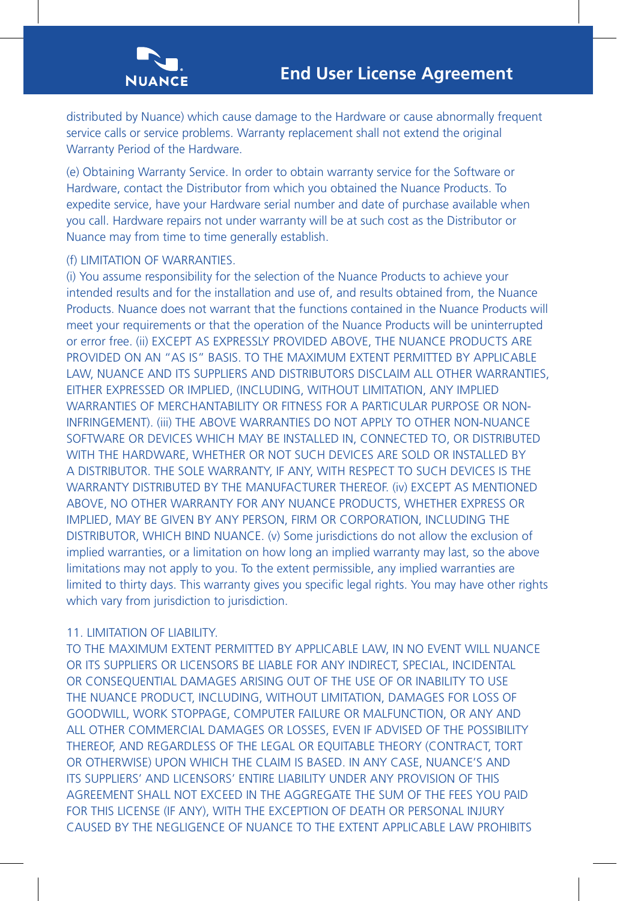

distributed by Nuance) which cause damage to the Hardware or cause abnormally frequent service calls or service problems. Warranty replacement shall not extend the original Warranty Period of the Hardware.

(e) Obtaining Warranty Service. In order to obtain warranty service for the Software or Hardware, contact the Distributor from which you obtained the Nuance Products. To expedite service, have your Hardware serial number and date of purchase available when you call. Hardware repairs not under warranty will be at such cost as the Distributor or Nuance may from time to time generally establish.

### (f) LIMITATION OF WARRANTIES.

(i) You assume responsibility for the selection of the Nuance Products to achieve your intended results and for the installation and use of, and results obtained from, the Nuance Products. Nuance does not warrant that the functions contained in the Nuance Products will meet your requirements or that the operation of the Nuance Products will be uninterrupted or error free. (ii) EXCEPT AS EXPRESSLY PROVIDED ABOVE, THE NUANCE PRODUCTS ARE PROVIDED ON AN "AS IS" BASIS. TO THE MAXIMUM EXTENT PERMITTED BY APPLICABLE LAW, NUANCE AND ITS SUPPLIERS AND DISTRIBUTORS DISCLAIM ALL OTHER WARRANTIES, EITHER EXPRESSED OR IMPLIED, (INCLUDING, WITHOUT LIMITATION, ANY IMPLIED WARRANTIES OF MERCHANTABILITY OR FITNESS FOR A PARTICULAR PURPOSE OR NON-INFRINGEMENT). (iii) THE ABOVE WARRANTIES DO NOT APPLY TO OTHER NON-NUANCE SOFTWARE OR DEVICES WHICH MAY BE INSTALLED IN, CONNECTED TO, OR DISTRIBUTED WITH THE HARDWARE, WHETHER OR NOT SUCH DEVICES ARE SOLD OR INSTALLED BY A DISTRIBUTOR. THE SOLE WARRANTY, IF ANY, WITH RESPECT TO SUCH DEVICES IS THE WARRANTY DISTRIBUTED BY THE MANUFACTURER THEREOF. (iv) EXCEPT AS MENTIONED ABOVE, NO OTHER WARRANTY FOR ANY NUANCE PRODUCTS, WHETHER EXPRESS OR IMPLIED, MAY BE GIVEN BY ANY PERSON, FIRM OR CORPORATION, INCLUDING THE DISTRIBUTOR, WHICH BIND NUANCE. (v) Some jurisdictions do not allow the exclusion of implied warranties, or a limitation on how long an implied warranty may last, so the above limitations may not apply to you. To the extent permissible, any implied warranties are limited to thirty days. This warranty gives you specific legal rights. You may have other rights which vary from jurisdiction to jurisdiction.

#### 11. LIMITATION OF LIABILITY.

TO THE MAXIMUM EXTENT PERMITTED BY APPLICABLE LAW, IN NO EVENT WILL NUANCE OR ITS SUPPLIERS OR LICENSORS BE LIABLE FOR ANY INDIRECT, SPECIAL, INCIDENTAL OR CONSEQUENTIAL DAMAGES ARISING OUT OF THE USE OF OR INABILITY TO USE THE NUANCE PRODUCT, INCLUDING, WITHOUT LIMITATION, DAMAGES FOR LOSS OF GOODWILL, WORK STOPPAGE, COMPUTER FAILURE OR MALFUNCTION, OR ANY AND ALL OTHER COMMERCIAL DAMAGES OR LOSSES, EVEN IF ADVISED OF THE POSSIBILITY THEREOF, AND REGARDLESS OF THE LEGAL OR EQUITABLE THEORY (CONTRACT, TORT OR OTHERWISE) UPON WHICH THE CLAIM IS BASED. IN ANY CASE, NUANCE'S AND ITS SUPPLIERS' AND LICENSORS' ENTIRE LIABILITY UNDER ANY PROVISION OF THIS AGREEMENT SHALL NOT EXCEED IN THE AGGREGATE THE SUM OF THE FEES YOU PAID FOR THIS LICENSE (IF ANY), WITH THE EXCEPTION OF DEATH OR PERSONAL INJURY CAUSED BY THE NEGLIGENCE OF NUANCE TO THE EXTENT APPLICABLE LAW PROHIBITS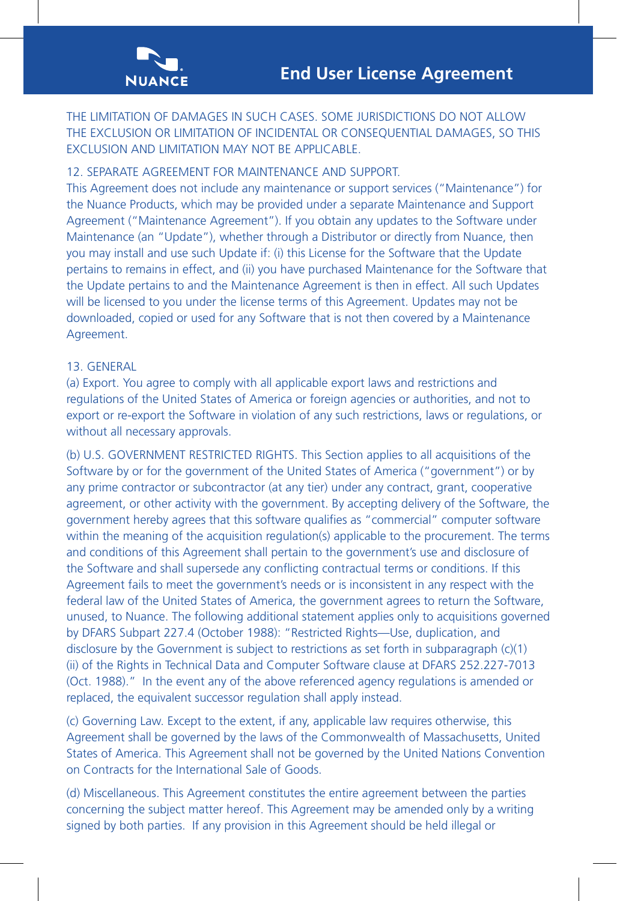

THE LIMITATION OF DAMAGES IN SUCH CASES. SOME JURISDICTIONS DO NOT ALLOW THE EXCLUSION OR LIMITATION OF INCIDENTAL OR CONSEQUENTIAL DAMAGES, SO THIS EXCLUSION AND LIMITATION MAY NOT BE APPLICABLE.

# 12. SEPARATE AGREEMENT FOR MAINTENANCE AND SUPPORT.

This Agreement does not include any maintenance or support services ("Maintenance") for the Nuance Products, which may be provided under a separate Maintenance and Support Agreement ("Maintenance Agreement"). If you obtain any updates to the Software under Maintenance (an "Update"), whether through a Distributor or directly from Nuance, then you may install and use such Update if: (i) this License for the Software that the Update pertains to remains in effect, and (ii) you have purchased Maintenance for the Software that the Update pertains to and the Maintenance Agreement is then in effect. All such Updates will be licensed to you under the license terms of this Agreement. Updates may not be downloaded, copied or used for any Software that is not then covered by a Maintenance Agreement.

# 13. GENERAL

(a) Export. You agree to comply with all applicable export laws and restrictions and regulations of the United States of America or foreign agencies or authorities, and not to export or re-export the Software in violation of any such restrictions, laws or regulations, or without all necessary approvals.

(b) U.S. GOVERNMENT RESTRICTED RIGHTS. This Section applies to all acquisitions of the Software by or for the government of the United States of America ("government") or by any prime contractor or subcontractor (at any tier) under any contract, grant, cooperative agreement, or other activity with the government. By accepting delivery of the Software, the government hereby agrees that this software qualifies as "commercial" computer software within the meaning of the acquisition regulation(s) applicable to the procurement. The terms and conditions of this Agreement shall pertain to the government's use and disclosure of the Software and shall supersede any conflicting contractual terms or conditions. If this Agreement fails to meet the government's needs or is inconsistent in any respect with the federal law of the United States of America, the government agrees to return the Software, unused, to Nuance. The following additional statement applies only to acquisitions governed by DFARS Subpart 227.4 (October 1988): "Restricted Rights—Use, duplication, and disclosure by the Government is subject to restrictions as set forth in subparagraph (c)(1) (ii) of the Rights in Technical Data and Computer Software clause at DFARS 252.227-7013 (Oct. 1988)." In the event any of the above referenced agency regulations is amended or replaced, the equivalent successor regulation shall apply instead.

(c) Governing Law. Except to the extent, if any, applicable law requires otherwise, this Agreement shall be governed by the laws of the Commonwealth of Massachusetts, United States of America. This Agreement shall not be governed by the United Nations Convention on Contracts for the International Sale of Goods.

(d) Miscellaneous. This Agreement constitutes the entire agreement between the parties concerning the subject matter hereof. This Agreement may be amended only by a writing signed by both parties. If any provision in this Agreement should be held illegal or